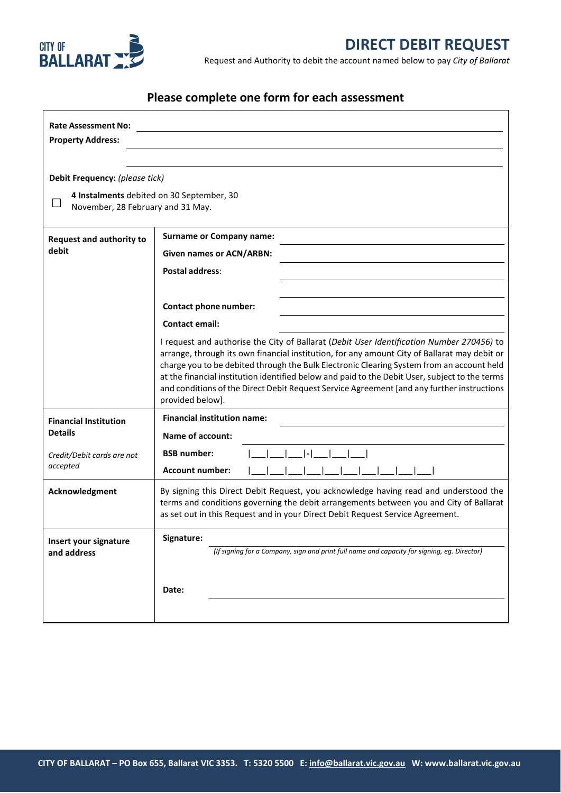

Request and Authority to debit the account named below to pay *City of Ballarat*

# **Please complete one form for each assessment**

| <b>Rate Assessment No:</b>                                 |                                                                                                                                                                                              |
|------------------------------------------------------------|----------------------------------------------------------------------------------------------------------------------------------------------------------------------------------------------|
| <b>Property Address:</b>                                   |                                                                                                                                                                                              |
|                                                            |                                                                                                                                                                                              |
| Debit Frequency: (please tick)                             |                                                                                                                                                                                              |
| 4 Instalments debited on 30 September, 30<br>$\mathcal{L}$ |                                                                                                                                                                                              |
| November, 28 February and 31 May.                          |                                                                                                                                                                                              |
| <b>Request and authority to</b><br>debit                   | <b>Surname or Company name:</b>                                                                                                                                                              |
|                                                            | <b>Given names or ACN/ARBN:</b>                                                                                                                                                              |
|                                                            | <b>Postal address:</b>                                                                                                                                                                       |
|                                                            |                                                                                                                                                                                              |
|                                                            | Contact phone number:                                                                                                                                                                        |
|                                                            | <b>Contact email:</b>                                                                                                                                                                        |
|                                                            | I request and authorise the City of Ballarat (Debit User Identification Number 270456) to                                                                                                    |
|                                                            | arrange, through its own financial institution, for any amount City of Ballarat may debit or<br>charge you to be debited through the Bulk Electronic Clearing System from an account held    |
|                                                            | at the financial institution identified below and paid to the Debit User, subject to the terms<br>and conditions of the Direct Debit Request Service Agreement [and any further instructions |
|                                                            | provided below].                                                                                                                                                                             |
| <b>Financial Institution</b><br><b>Details</b>             | <b>Financial institution name:</b>                                                                                                                                                           |
|                                                            | <b>Name of account:</b>                                                                                                                                                                      |
| Credit/Debit cards are not<br>accepted                     | <b>BSB number:</b>                                                                                                                                                                           |
|                                                            | <b>Account number:</b>                                                                                                                                                                       |
| Acknowledgment                                             | By signing this Direct Debit Request, you acknowledge having read and understood the                                                                                                         |
|                                                            | terms and conditions governing the debit arrangements between you and City of Ballarat<br>as set out in this Request and in your Direct Debit Request Service Agreement.                     |
|                                                            |                                                                                                                                                                                              |
| Insert your signature<br>and address                       | Signature:<br>(If signing for a Company, sign and print full name and capacity for signing, eg. Director)                                                                                    |
|                                                            |                                                                                                                                                                                              |
|                                                            |                                                                                                                                                                                              |
|                                                            | Date:                                                                                                                                                                                        |
|                                                            |                                                                                                                                                                                              |